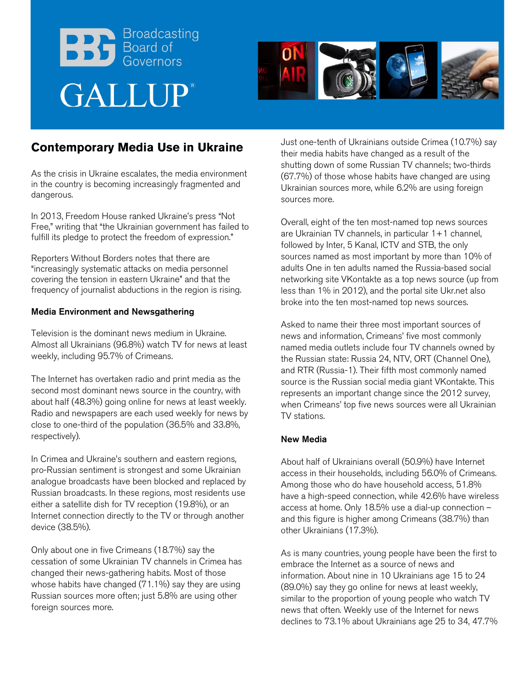



# **Contemporary Media Use in Ukraine**

As the crisis in Ukraine escalates, the media environment in the country is becoming increasingly fragmented and dangerous.

In 2013, Freedom House ranked Ukraine's press "Not Free," writing that "the Ukrainian government has failed to fulfill its pledge to protect the freedom of expression."

Reporters Without Borders notes that there are "increasingly systematic attacks on media personnel covering the tension in eastern Ukraine" and that the frequency of journalist abductions in the region is rising.

#### Media Environment and Newsgathering

Television is the dominant news medium in Ukraine. Almost all Ukrainians (96.8%) watch TV for news at least weekly, including 95.7% of Crimeans.

The Internet has overtaken radio and print media as the second most dominant news source in the country, with about half (48.3%) going online for news at least weekly. Radio and newspapers are each used weekly for news by close to one-third of the population (36.5% and 33.8%, respectively).

In Crimea and Ukraine's southern and eastern regions, pro-Russian sentiment is strongest and some Ukrainian analogue broadcasts have been blocked and replaced by Russian broadcasts. In these regions, most residents use either a satellite dish for TV reception (19.8%), or an Internet connection directly to the TV or through another device (38.5%).

Only about one in five Crimeans (18.7%) say the cessation of some Ukrainian TV channels in Crimea has changed their news-gathering habits. Most of those whose habits have changed (71.1%) say they are using Russian sources more often; just 5.8% are using other foreign sources more.

Just one-tenth of Ukrainians outside Crimea (10.7%) say their media habits have changed as a result of the shutting down of some Russian TV channels; two-thirds (67.7%) of those whose habits have changed are using Ukrainian sources more, while 6.2% are using foreign sources more.

Overall, eight of the ten most-named top news sources are Ukrainian TV channels, in particular 1+1 channel, followed by Inter, 5 Kanal, ICTV and STB, the only sources named as most important by more than 10% of adults One in ten adults named the Russia-based social networking site VKontakte as a top news source (up from less than 1% in 2012), and the portal site Ukr.net also broke into the ten most-named top news sources.

Asked to name their three most important sources of news and information, Crimeans' five most commonly named media outlets include four TV channels owned by the Russian state: Russia 24, NTV, ORT (Channel One), and RTR (Russia-1). Their fifth most commonly named source is the Russian social media giant VKontakte. This represents an important change since the 2012 survey, when Crimeans' top five news sources were all Ukrainian TV stations.

#### New Media

About half of Ukrainians overall (50.9%) have Internet access in their households, including 56.0% of Crimeans. Among those who do have household access, 51.8% have a high-speed connection, while 42.6% have wireless access at home. Only 18.5% use a dial-up connection – and this figure is higher among Crimeans (38.7%) than other Ukrainians (17.3%).

As is many countries, young people have been the first to embrace the Internet as a source of news and information. About nine in 10 Ukrainians age 15 to 24 (89.0%) say they go online for news at least weekly, similar to the proportion of young people who watch TV news that often. Weekly use of the Internet for news declines to 73.1% about Ukrainians age 25 to 34, 47.7%